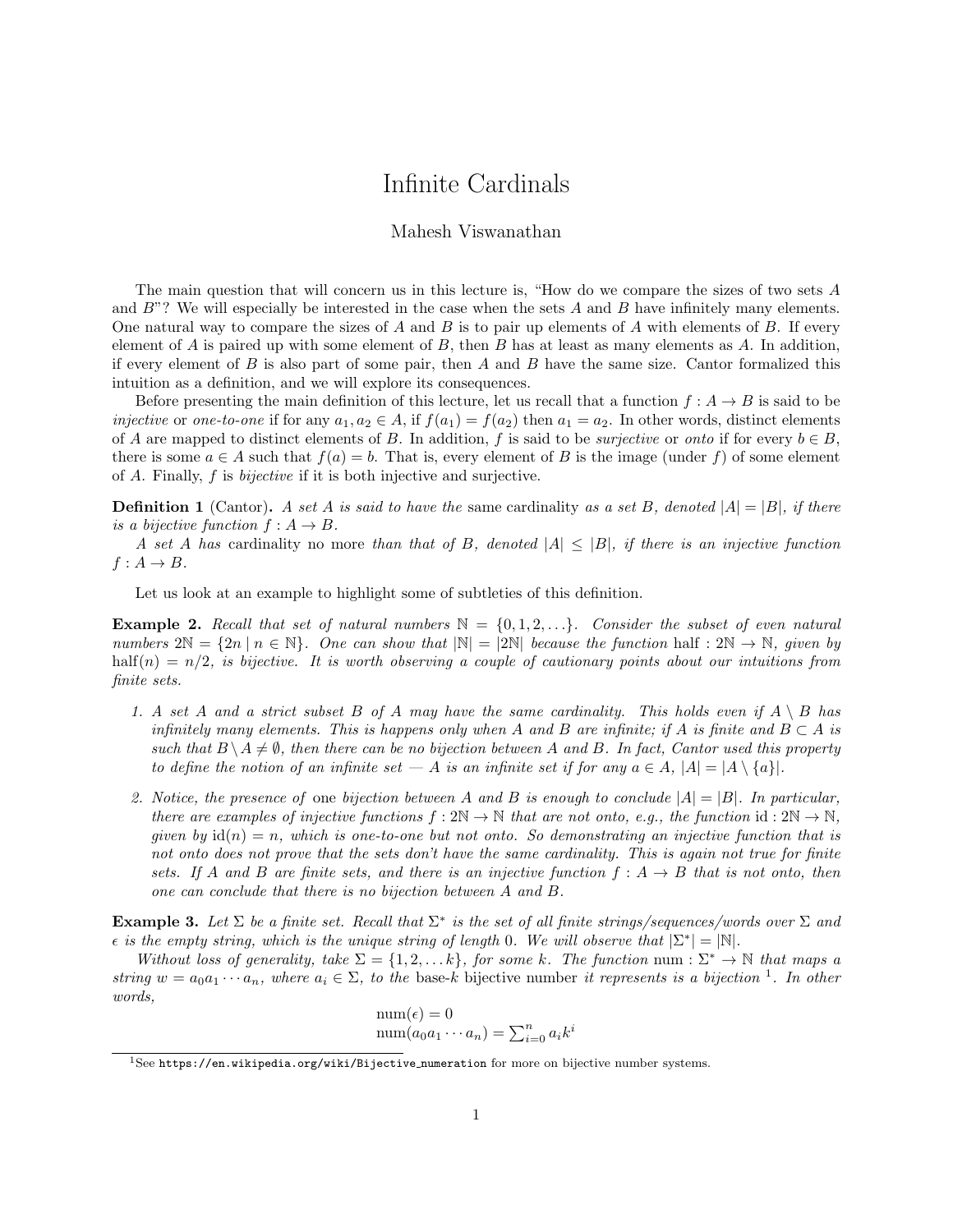## Infinite Cardinals

## Mahesh Viswanathan

The main question that will concern us in this lecture is, "How do we compare the sizes of two sets A and  $B$ "? We will especially be interested in the case when the sets  $A$  and  $B$  have infinitely many elements. One natural way to compare the sizes of A and B is to pair up elements of A with elements of B. If every element of A is paired up with some element of B, then B has at least as many elements as  $A$ . In addition, if every element of  $B$  is also part of some pair, then  $A$  and  $B$  have the same size. Cantor formalized this intuition as a definition, and we will explore its consequences.

Before presenting the main definition of this lecture, let us recall that a function  $f : A \to B$  is said to be injective or one-to-one if for any  $a_1, a_2 \in A$ , if  $f(a_1) = f(a_2)$  then  $a_1 = a_2$ . In other words, distinct elements of A are mapped to distinct elements of B. In addition, f is said to be *surjective* or *onto* if for every  $b \in B$ , there is some  $a \in A$  such that  $f(a) = b$ . That is, every element of B is the image (under f) of some element of A. Finally, f is bijective if it is both injective and surjective.

**Definition 1** (Cantor). A set A is said to have the same cardinality as a set B, denoted  $|A| = |B|$ , if there is a bijective function  $f : A \rightarrow B$ .

A set A has cardinality no more than that of B, denoted  $|A| \leq |B|$ , if there is an injective function  $f: A \rightarrow B$ .

Let us look at an example to highlight some of subtleties of this definition.

**Example 2.** Recall that set of natural numbers  $\mathbb{N} = \{0, 1, 2, \ldots\}$ . Consider the subset of even natural numbers  $2\mathbb{N} = \{2n \mid n \in \mathbb{N}\}\$ . One can show that  $|\mathbb{N}| = |2\mathbb{N}|$  because the function half :  $2\mathbb{N} \to \mathbb{N}$ , given by half(n) =  $n/2$ , is bijective. It is worth observing a couple of cautionary points about our intuitions from finite sets.

- 1. A set A and a strict subset B of A may have the same cardinality. This holds even if  $A \setminus B$  has infinitely many elements. This is happens only when A and B are infinite; if A is finite and  $B \subset A$  is such that  $B \setminus A \neq \emptyset$ , then there can be no bijection between A and B. In fact, Cantor used this property to define the notion of an infinite set — A is an infinite set if for any  $a \in A$ ,  $|A| = |A \setminus \{a\}|$ .
- 2. Notice, the presence of one bijection between A and B is enough to conclude  $|A| = |B|$ . In particular, there are examples of injective functions  $f : 2N \to \mathbb{N}$  that are not onto, e.g., the function id:  $2N \to \mathbb{N}$ , given by  $\mathrm{id}(n) = n$ , which is one-to-one but not onto. So demonstrating an injective function that is not onto does not prove that the sets don't have the same cardinality. This is again not true for finite sets. If A and B are finite sets, and there is an injective function  $f : A \rightarrow B$  that is not onto, then one can conclude that there is no bijection between A and B.

**Example 3.** Let  $\Sigma$  be a finite set. Recall that  $\Sigma^*$  is the set of all finite strings/sequences/words over  $\Sigma$  and  $\epsilon$  is the empty string, which is the unique string of length 0. We will observe that  $|\Sigma^*| = |\mathbb{N}|$ .

Without loss of generality, take  $\Sigma = \{1, 2, \ldots k\}$ , for some k. The function num :  $\Sigma^* \to \mathbb{N}$  that maps a string  $w = a_0 a_1 \cdots a_n$ , where  $a_i \in \Sigma$ , to the base-k bijective number it represents is a bijection <sup>1</sup>. In other words,

$$
\text{num}(\epsilon) = 0
$$
  
\n
$$
\text{num}(a_0 a_1 \cdots a_n) = \sum_{i=0}^n a_i k^i
$$

<sup>&</sup>lt;sup>1</sup>See https://en.wikipedia.org/wiki/Bijective numeration for more on bijective number systems.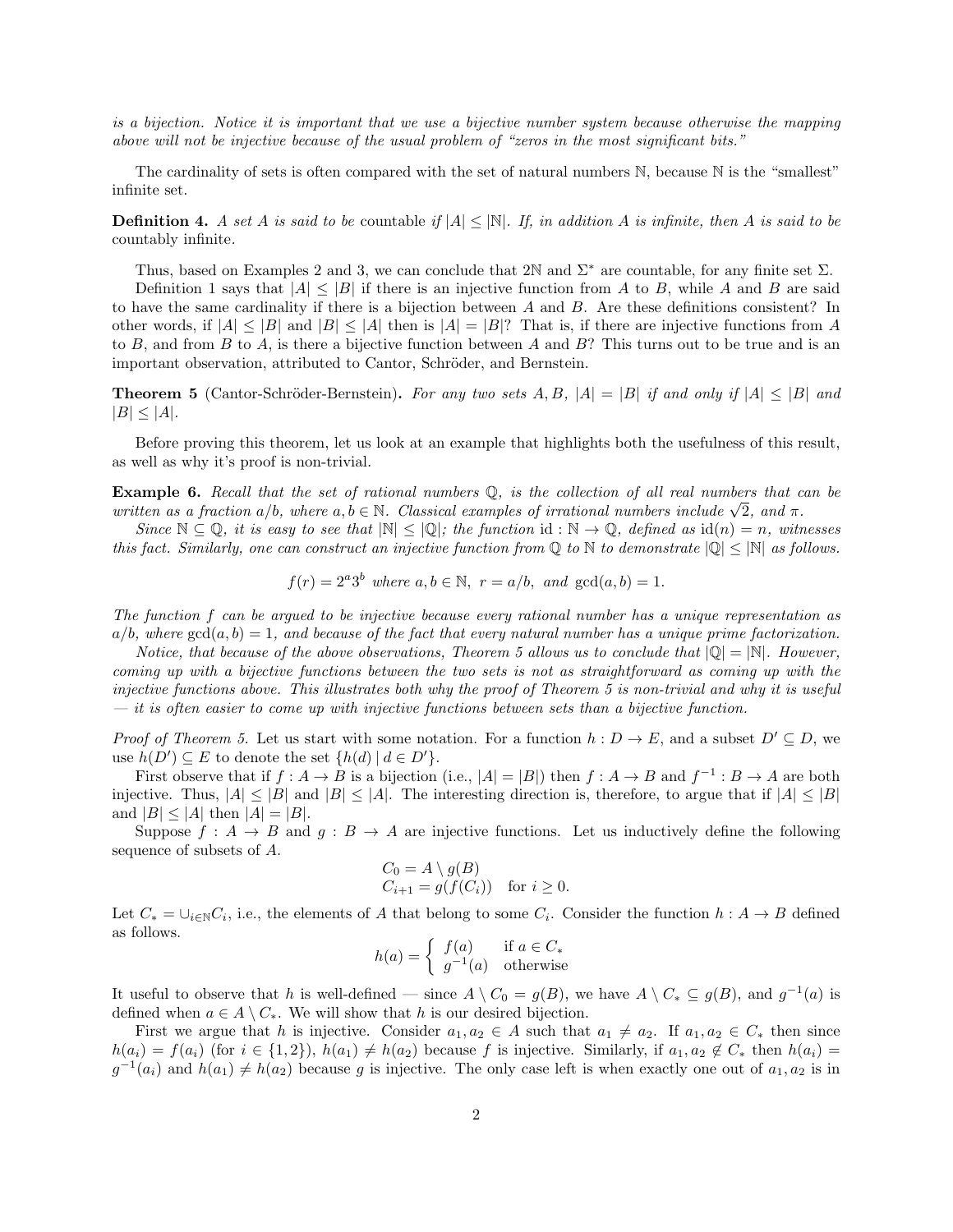is a bijection. Notice it is important that we use a bijective number system because otherwise the mapping above will not be injective because of the usual problem of "zeros in the most significant bits."

The cardinality of sets is often compared with the set of natural numbers  $\mathbb N$ , because  $\mathbb N$  is the "smallest" infinite set.

**Definition 4.** A set A is said to be countable if  $|A| \leq |\mathbb{N}|$ . If, in addition A is infinite, then A is said to be countably infinite.

Thus, based on Examples 2 and 3, we can conclude that 2N and  $\Sigma^*$  are countable, for any finite set  $\Sigma$ .

Definition 1 says that  $|A| \leq |B|$  if there is an injective function from A to B, while A and B are said to have the same cardinality if there is a bijection between  $A$  and  $B$ . Are these definitions consistent? In other words, if  $|A| \leq |B|$  and  $|B| \leq |A|$  then is  $|A| = |B|$ ? That is, if there are injective functions from A to B, and from B to A, is there a bijective function between A and B? This turns out to be true and is an important observation, attributed to Cantor, Schröder, and Bernstein.

**Theorem 5** (Cantor-Schröder-Bernstein). For any two sets A, B,  $|A| = |B|$  if and only if  $|A| \leq |B|$  and  $|B| \leq |A|$ .

Before proving this theorem, let us look at an example that highlights both the usefulness of this result, as well as why it's proof is non-trivial.

**Example 6.** Recall that the set of rational numbers  $\mathbb{Q}$ , is the collection of all real numbers that can be **Example 6.** Recall that the set of rational numbers  $\mathbb{Q}$ , is the collection of all real numbers that c<br>written as a fraction a/b, where a, b  $\in \mathbb{N}$ . Classical examples of irrational numbers include  $\sqrt{2}$ , and

Since  $\mathbb{N} \subseteq \mathbb{Q}$ , it is easy to see that  $|\mathbb{N}| \leq |\mathbb{Q}|$ ; the function id :  $\mathbb{N} \to \mathbb{Q}$ , defined as  $\text{id}(n) = n$ , witnesses this fact. Similarly, one can construct an injective function from  $\mathbb Q$  to  $\mathbb N$  to demonstrate  $|\mathbb Q| \leq |\mathbb N|$  as follows.

$$
f(r) = 2^a 3^b
$$
 where  $a, b \in \mathbb{N}$ ,  $r = a/b$ , and  $gcd(a, b) = 1$ .

The function f can be argued to be injective because every rational number has a unique representation as  $a/b$ , where  $gcd(a, b) = 1$ , and because of the fact that every natural number has a unique prime factorization.

Notice, that because of the above observations, Theorem 5 allows us to conclude that  $|\mathbb{Q}| = |\mathbb{N}|$ . However, coming up with a bijective functions between the two sets is not as straightforward as coming up with the injective functions above. This illustrates both why the proof of Theorem 5 is non-trivial and why it is useful  $-$  it is often easier to come up with injective functions between sets than a bijective function.

*Proof of Theorem 5.* Let us start with some notation. For a function  $h: D \to E$ , and a subset  $D' \subseteq D$ , we use  $h(D') \subseteq E$  to denote the set  $\{h(d) | d \in D'\}.$ 

First observe that if  $f : A \to B$  is a bijection (i.e.,  $|A| = |B|$ ) then  $f : A \to B$  and  $f^{-1} : B \to A$  are both injective. Thus,  $|A| \leq |B|$  and  $|B| \leq |A|$ . The interesting direction is, therefore, to argue that if  $|A| \leq |B|$ and  $|B| \leq |A|$  then  $|A| = |B|$ .

Suppose  $f : A \rightarrow B$  and  $g : B \rightarrow A$  are injective functions. Let us inductively define the following sequence of subsets of A.

$$
C_0 = A \setminus g(B)
$$
  
\n
$$
C_{i+1} = g(f(C_i)) \text{ for } i \ge 0.
$$

Let  $C_* = \cup_{i \in \mathbb{N}} C_i$ , i.e., the elements of A that belong to some  $C_i$ . Consider the function  $h: A \to B$  defined as follows.

$$
h(a) = \begin{cases} f(a) & \text{if } a \in C_* \\ g^{-1}(a) & \text{otherwise} \end{cases}
$$

It useful to observe that h is well-defined — since  $A \setminus C_0 = g(B)$ , we have  $A \setminus C_* \subseteq g(B)$ , and  $g^{-1}(a)$  is defined when  $a \in A \setminus C_*$ . We will show that h is our desired bijection.

First we argue that h is injective. Consider  $a_1, a_2 \in A$  such that  $a_1 \neq a_2$ . If  $a_1, a_2 \in C_*$  then since  $h(a_i) = f(a_i)$  (for  $i \in \{1,2\}$ ),  $h(a_1) \neq h(a_2)$  because f is injective. Similarly, if  $a_1, a_2 \notin C_*$  then  $h(a_i) =$  $g^{-1}(a_i)$  and  $h(a_1) \neq h(a_2)$  because g is injective. The only case left is when exactly one out of  $a_1, a_2$  is in